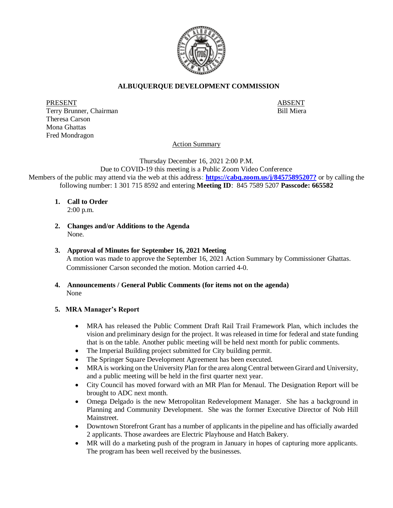

# **ALBUQUERQUE DEVELOPMENT COMMISSION**

PRESENT ABSENT Terry Brunner, Chairman Bill Miera Theresa Carson Mona Ghattas Fred Mondragon

Action Summary

Thursday December 16, 2021 2:00 P.M.

Due to COVID-19 this meeting is a Public Zoom Video Conference Members of the public may attend via the web at this address: **[https://cabq.zoom.us/j/84575895207?](https://cabq.zoom.us/j/4462022230)** or by calling the following number: 1 301 715 8592 and entering **Meeting ID**: 845 7589 5207 **Passcode: 665582**

- **1. Call to Order** 2:00 p.m.
- **2. Changes and/or Additions to the Agenda** None.
- **3. Approval of Minutes for September 16, 2021 Meeting** A motion was made to approve the September 16, 2021 Action Summary by Commissioner Ghattas. Commissioner Carson seconded the motion. Motion carried 4-0.
- **4. Announcements / General Public Comments (for items not on the agenda)** None

### **5. MRA Manager's Report**

- MRA has released the Public Comment Draft Rail Trail Framework Plan, which includes the vision and preliminary design for the project. It was released in time for federal and state funding that is on the table. Another public meeting will be held next month for public comments.
- The Imperial Building project submitted for City building permit.
- The Springer Square Development Agreement has been executed.
- MRA is working on the University Plan for the area along Central between Girard and University, and a public meeting will be held in the first quarter next year.
- City Council has moved forward with an MR Plan for Menaul. The Designation Report will be brought to ADC next month.
- Omega Delgado is the new Metropolitan Redevelopment Manager. She has a background in Planning and Community Development. She was the former Executive Director of Nob Hill Mainstreet.
- Downtown Storefront Grant has a number of applicants in the pipeline and has officially awarded 2 applicants. Those awardees are Electric Playhouse and Hatch Bakery.
- MR will do a marketing push of the program in January in hopes of capturing more applicants. The program has been well received by the businesses.